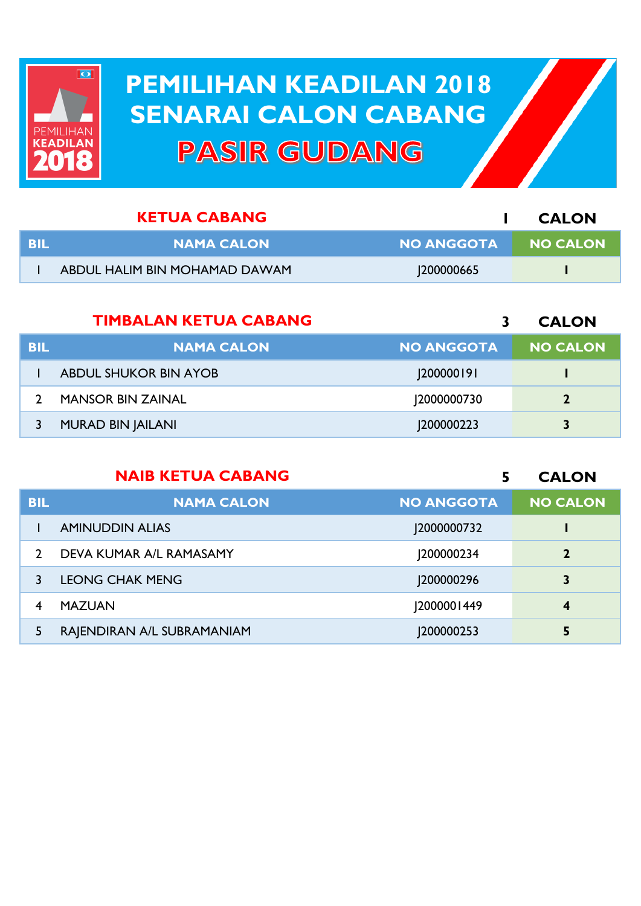

## **PEMILIHAN KEADILAN 2018 PEMILIHAN KEADILAN 2018 SENARAI CALON CABANG SENARAI CALON CABANGPASIR GUDANG**

|      | <b>KETUA CABANG</b>           |            | <b>CALON</b>    |
|------|-------------------------------|------------|-----------------|
| -BIL | <b>NAMA CALON</b>             | NO ANGGOTA | <b>NO CALON</b> |
|      | ABDUL HALIM BIN MOHAMAD DAWAM | 1200000665 |                 |

|            | <b>TIMBALAN KETUA CABANG</b> |                   | <b>CALON</b>    |
|------------|------------------------------|-------------------|-----------------|
| <b>BIL</b> | <b>NAMA CALON</b>            | <b>NO ANGGOTA</b> | <b>NO CALON</b> |
|            | <b>ABDUL SHUKOR BIN AYOB</b> | 200000191         |                 |
|            | <b>MANSOR BIN ZAINAL</b>     | 2000000730        | $\mathbf{2}$    |
|            | <b>MURAD BIN JAILANI</b>     | 200000223         | 3               |

|               | <b>NAIB KETUA CABANG</b>   |                   | <b>CALON</b>    |
|---------------|----------------------------|-------------------|-----------------|
| <b>BIL</b>    | <b>NAMA CALON</b>          | <b>NO ANGGOTA</b> | <b>NO CALON</b> |
|               | <b>AMINUDDIN ALIAS</b>     | 2000000732        |                 |
| $\mathcal{D}$ | DEVA KUMAR A/L RAMASAMY    | 200000234         | $\overline{2}$  |
|               | <b>LEONG CHAK MENG</b>     | J200000296        | 3               |
| 4             | <b>MAZUAN</b>              | 2000001449        | 4               |
| 5             | RAJENDIRAN A/L SUBRAMANIAM | 200000253         |                 |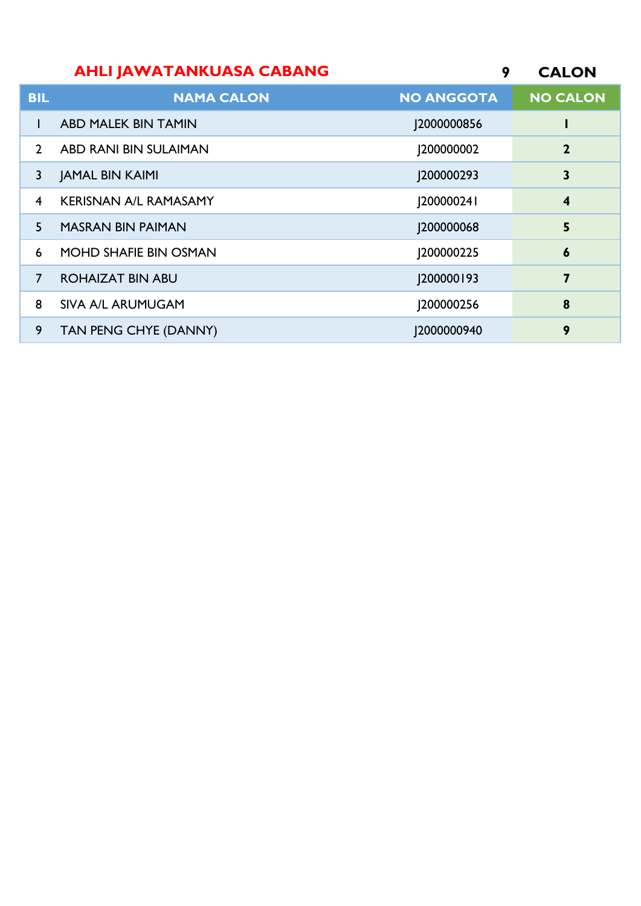## **CALON AHLI JAWATANKUASA CABANG**

| <b>BIL</b>     | <b>NAMA CALON</b>            | <b>NO ANGGOTA</b> | <b>NO CALON</b>         |
|----------------|------------------------------|-------------------|-------------------------|
|                | <b>ABD MALEK BIN TAMIN</b>   | J2000000856       |                         |
| $\mathcal{P}$  | ABD RANI BIN SULAIMAN        | <b>J20000002</b>  | $\overline{2}$          |
| 3              | <b>JAMAL BIN KAIMI</b>       | 200000293         | 3                       |
| $\overline{4}$ | <b>KERISNAN A/L RAMASAMY</b> | [20000024]        | $\overline{\mathbf{4}}$ |
| 5              | <b>MASRAN BIN PAIMAN</b>     | 200000068         | 5                       |
| 6              | <b>MOHD SHAFIE BIN OSMAN</b> | 200000225         | $\boldsymbol{6}$        |
| $\overline{7}$ | <b>ROHAIZAT BIN ABU</b>      | [200000193]       | 7                       |
| 8              | SIVA A/L ARUMUGAM            | 200000256         | 8                       |
| 9              | TAN PENG CHYE (DANNY)        | 2000000940        | 9                       |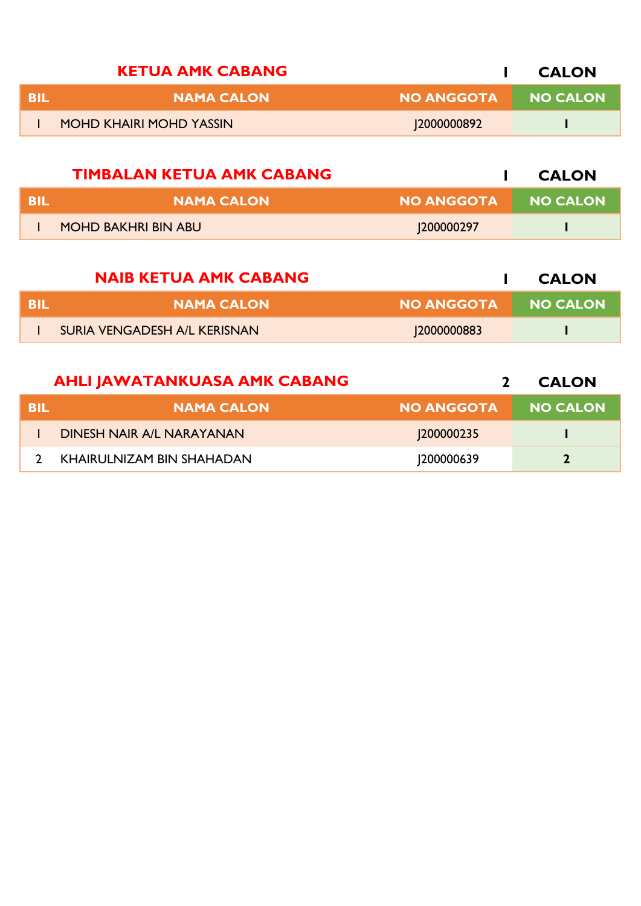| <b>KETUA AMK CABANG</b>        |                   | <b>CALON</b>    |
|--------------------------------|-------------------|-----------------|
| <b>NAMA CALON</b>              | <b>NO ANGGOTA</b> | <b>NO CALON</b> |
| <b>MOHD KHAIRI MOHD YASSIN</b> | 2000000892        |                 |

|     | <b>TIMBALAN KETUA AMK CABANG</b> |                     | <b>CALON</b> |
|-----|----------------------------------|---------------------|--------------|
| BIL | <b>NAMA CALON</b>                | NO ANGGOTA NO CALON |              |
|     | <b>MOHD BAKHRI BIN ABU</b>       | 200000297           |              |

|     | <b>NAIB KETUA AMK CABANG</b> |                   | <b>CALON</b>    |
|-----|------------------------------|-------------------|-----------------|
| BIL | <b>NAMA CALON</b>            | <b>NO ANGGOTA</b> | <b>NO CALON</b> |
|     | SURIA VENGADESH A/L KERISNAN | 12000000883       |                 |

|      | <b>AHLI JAWATANKUASA AMK CABANG</b> |                   | <b>CALON</b>    |
|------|-------------------------------------|-------------------|-----------------|
| -BIL | <b>NAMA CALON</b>                   | <b>NO ANGGOTA</b> | <b>NO CALON</b> |
|      | <b>DINESH NAIR A/L NARAYANAN</b>    | <b>200000235</b>  |                 |
|      | KHAIRULNIZAM BIN SHAHADAN           | 1200000639        | $\mathbf{2}$    |